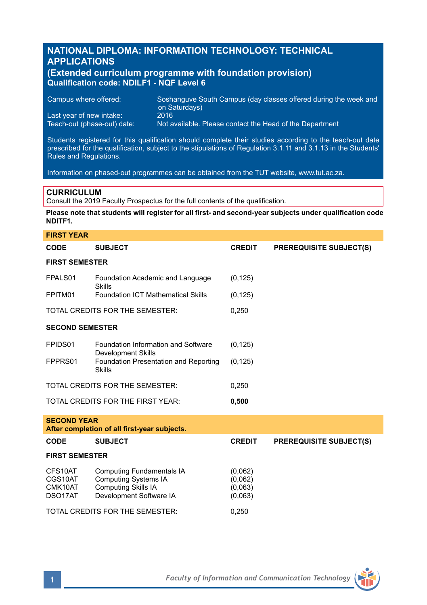# **NATIONAL DIPLOMA: INFORMATION TECHNOLOGY: TECHNICAL APPLICATIONS**

## **(Extended curriculum programme with foundation provision) Qualification code: NDILF1 - NQF Level 6**

Campus where offered: Soshanguve South Campus (day classes offered during the week and on Saturdays) Last year of new intake:<br>Teach-out (phase-out) date: Not available. Please contact the Head of the Department

Students registered for this qualification should complete their studies according to the teach-out date prescribed for the qualification, subject to the stipulations of Regulation 3.1.11 and 3.1.13 in the Students' Rules and Regulations.

Information on phased-out programmes can be obtained from the TUT website, www.tut.ac.za.

# **CURRICULUM**

Consult the 2019 Faculty Prospectus for the full contents of the qualification.

**Please note that students will register for all first- and second-year subjects under qualification code NDITF1.**

| <b>FIRST YEAR</b>                                                  |                                                                                                                          |                                          |                                |  |  |  |
|--------------------------------------------------------------------|--------------------------------------------------------------------------------------------------------------------------|------------------------------------------|--------------------------------|--|--|--|
| <b>CODE</b>                                                        | <b>SUBJECT</b>                                                                                                           | <b>CREDIT</b>                            | <b>PREREQUISITE SUBJECT(S)</b> |  |  |  |
| <b>FIRST SEMESTER</b>                                              |                                                                                                                          |                                          |                                |  |  |  |
| FPALS01                                                            | Foundation Academic and Language<br>Skills                                                                               | (0, 125)                                 |                                |  |  |  |
| FPITM01                                                            | <b>Foundation ICT Mathematical Skills</b>                                                                                | (0, 125)                                 |                                |  |  |  |
| TOTAL CREDITS FOR THE SEMESTER:                                    |                                                                                                                          | 0,250                                    |                                |  |  |  |
| <b>SECOND SEMESTER</b>                                             |                                                                                                                          |                                          |                                |  |  |  |
| FPIDS01                                                            | Foundation Information and Software<br>Development Skills                                                                | (0, 125)                                 |                                |  |  |  |
| FPPRS01                                                            | Foundation Presentation and Reporting<br><b>Skills</b>                                                                   | (0, 125)                                 |                                |  |  |  |
|                                                                    | TOTAL CREDITS FOR THE SEMESTER:                                                                                          | 0.250                                    |                                |  |  |  |
| TOTAL CREDITS FOR THE FIRST YEAR:                                  |                                                                                                                          | 0,500                                    |                                |  |  |  |
| <b>SECOND YEAR</b><br>After completion of all first-year subjects. |                                                                                                                          |                                          |                                |  |  |  |
| CODE                                                               | <b>SUBJECT</b>                                                                                                           | <b>CREDIT</b>                            | <b>PREREQUISITE SUBJECT(S)</b> |  |  |  |
| <b>FIRST SEMESTER</b>                                              |                                                                                                                          |                                          |                                |  |  |  |
| CFS10AT<br>CGS10AT<br>CMK10AT<br>DSO17AT                           | <b>Computing Fundamentals IA</b><br><b>Computing Systems IA</b><br><b>Computing Skills IA</b><br>Development Software IA | (0,062)<br>(0,062)<br>(0,063)<br>(0,063) |                                |  |  |  |
|                                                                    | TOTAL CREDITS FOR THE SEMESTER:                                                                                          | 0,250                                    |                                |  |  |  |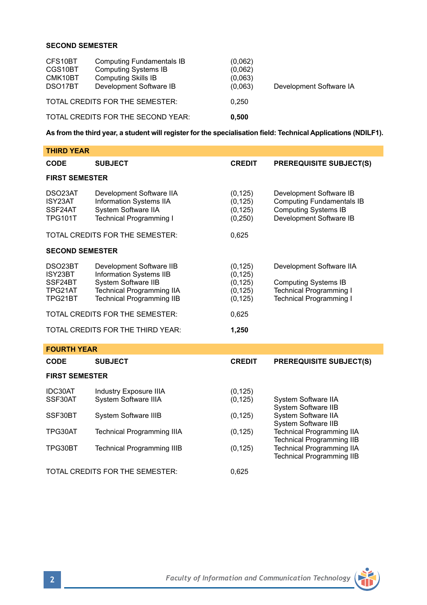## **SECOND SEMESTER**

| CFS10BT<br>CGS10BT<br>CMK10BT<br>DSO17BT | <b>Computing Fundamentals IB</b><br><b>Computing Systems IB</b><br><b>Computing Skills IB</b><br>Development Software IB | (0.062)<br>(0,062)<br>(0,063)<br>(0,063) | Development Software IA |
|------------------------------------------|--------------------------------------------------------------------------------------------------------------------------|------------------------------------------|-------------------------|
| TOTAL CREDITS FOR THE SEMESTER:          |                                                                                                                          | 0.250                                    |                         |
| TOTAL CREDITS FOR THE SECOND YEAR:       |                                                                                                                          | 0.500                                    |                         |

**As from the third year, a student will register for the specialisation field: Technical Applications (NDILF1).**

| <b>THIRD YEAR</b>                                   |                                                                                                                                                    |                                                          |                                                                                                                             |  |  |  |  |
|-----------------------------------------------------|----------------------------------------------------------------------------------------------------------------------------------------------------|----------------------------------------------------------|-----------------------------------------------------------------------------------------------------------------------------|--|--|--|--|
| <b>CODE</b>                                         | <b>SUBJECT</b>                                                                                                                                     | <b>CREDIT</b>                                            | <b>PREREQUISITE SUBJECT(S)</b>                                                                                              |  |  |  |  |
| <b>FIRST SEMESTER</b>                               |                                                                                                                                                    |                                                          |                                                                                                                             |  |  |  |  |
| DSO23AT<br>ISY23AT<br>SSF24AT<br><b>TPG101T</b>     | Development Software IIA<br><b>Information Systems IIA</b><br>System Software IIA<br><b>Technical Programming I</b>                                | (0, 125)<br>(0, 125)<br>(0, 125)<br>(0, 250)             | Development Software IB<br><b>Computing Fundamentals IB</b><br><b>Computing Systems IB</b><br>Development Software IB       |  |  |  |  |
|                                                     | TOTAL CREDITS FOR THE SEMESTER:                                                                                                                    | 0,625                                                    |                                                                                                                             |  |  |  |  |
| <b>SECOND SEMESTER</b>                              |                                                                                                                                                    |                                                          |                                                                                                                             |  |  |  |  |
| DSO23BT<br>ISY23BT<br>SSF24BT<br>TPG21AT<br>TPG21BT | Development Software IIB<br>Information Systems IIB<br>System Software IIB<br><b>Technical Programming IIA</b><br><b>Technical Programming IIB</b> | (0, 125)<br>(0, 125)<br>(0, 125)<br>(0, 125)<br>(0, 125) | Development Software IIA<br><b>Computing Systems IB</b><br><b>Technical Programming I</b><br><b>Technical Programming I</b> |  |  |  |  |
| TOTAL CREDITS FOR THE SEMESTER:                     |                                                                                                                                                    | 0,625                                                    |                                                                                                                             |  |  |  |  |
|                                                     | TOTAL CREDITS FOR THE THIRD YEAR:                                                                                                                  | 1,250                                                    |                                                                                                                             |  |  |  |  |
| <b>FOURTH YEAR</b>                                  |                                                                                                                                                    |                                                          |                                                                                                                             |  |  |  |  |
| <b>CODE</b>                                         | <b>SUBJECT</b>                                                                                                                                     | <b>CREDIT</b>                                            | <b>PREREQUISITE SUBJECT(S)</b>                                                                                              |  |  |  |  |
| <b>FIRST SEMESTER</b>                               |                                                                                                                                                    |                                                          |                                                                                                                             |  |  |  |  |
| IDC30AT<br>SSF30AT                                  | Industry Exposure IIIA<br>System Software IIIA                                                                                                     | (0, 125)<br>(0, 125)                                     | System Software IIA<br>System Software IIB                                                                                  |  |  |  |  |
| SSF30BT                                             | System Software IIIB                                                                                                                               | (0, 125)                                                 | System Software IIA                                                                                                         |  |  |  |  |
| TPG30AT                                             | <b>Technical Programming IIIA</b>                                                                                                                  | (0, 125)                                                 | System Software IIB<br><b>Technical Programming IIA</b><br><b>Technical Programming IIB</b>                                 |  |  |  |  |
| TPG30BT                                             | <b>Technical Programming IIIB</b>                                                                                                                  | (0, 125)                                                 | <b>Technical Programming IIA</b><br><b>Technical Programming IIB</b>                                                        |  |  |  |  |

TOTAL CREDITS FOR THE SEMESTER: 0.625

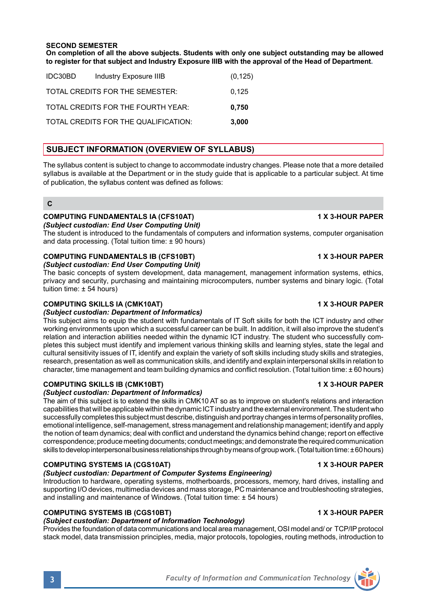**On completion of all the above subjects. Students with only one subject outstanding may be allowed to register for that subject and Industry Exposure IIIB with the approval of the Head of Department.**

| IDC30BD | Industry Exposure IIIB               | (0, 125) |
|---------|--------------------------------------|----------|
|         | TOTAL CREDITS FOR THE SEMESTER:      | 0.125    |
|         | TOTAL CREDITS FOR THE FOURTH YEAR:   | 0.750    |
|         | TOTAL CREDITS FOR THE QUALIFICATION: | 3.000    |

# **SUBJECT INFORMATION (OVERVIEW OF SYLLABUS)**

The syllabus content is subject to change to accommodate industry changes. Please note that a more detailed syllabus is available at the Department or in the study guide that is applicable to a particular subject. At time of publication, the syllabus content was defined as follows:

## **C**

### **COMPUTING FUNDAMENTALS IA (CFS10AT) 1 X 3-HOUR PAPER** *(Subject custodian: End User Computing Unit)*

The student is introduced to the fundamentals of computers and information systems, computer organisation and data processing. (Total tuition time: ± 90 hours)

# **COMPUTING FUNDAMENTALS IB (CFS10BT) 1 X 3-HOUR PAPER**

*(Subject custodian: End User Computing Unit)*

The basic concepts of system development, data management, management information systems, ethics, privacy and security, purchasing and maintaining microcomputers, number systems and binary logic. (Total tuition time: ± 54 hours)

# **COMPUTING SKILLS IA (CMK10AT) 1 X 3-HOUR PAPER**

# *(Subject custodian: Department of Informatics)*

This subject aims to equip the student with fundamentals of IT Soft skills for both the ICT industry and other working environments upon which a successful career can be built. In addition, it will also improve the student's relation and interaction abilities needed within the dynamic ICT industry. The student who successfully completes this subject must identify and implement various thinking skills and learning styles, state the legal and cultural sensitivity issues of IT, identify and explain the variety of soft skills including study skills and strategies, research, presentation as well as communication skills, and identify and explain interpersonal skills in relation to character, time management and team building dynamics and conflict resolution. (Total tuition time: ± 60 hours)

# **COMPUTING SKILLS IB (CMK10BT) 1 X 3-HOUR PAPER**

# *(Subject custodian: Department of Informatics)*

The aim of this subject is to extend the skills in CMK10 AT so as to improve on student's relations and interaction capabilities that will be applicable within the dynamic ICT industry and the external environment. The student who successfully completes this subject must describe, distinguish and portray changes in terms of personality profiles, emotional intelligence, self-management, stress management and relationship management; identify and apply the notion of team dynamics; deal with conflict and understand the dynamics behind change; report on effective correspondence; produce meeting documents; conduct meetings; and demonstrate the required communication skills to develop interpersonal business relationships through by means of group work. (Total tuition time: ± 60 hours)

# **COMPUTING SYSTEMS IA (CGS10AT) 1 X 3-HOUR PAPER**

# *(Subject custodian: Department of Computer Systems Engineering)*

Introduction to hardware, operating systems, motherboards, processors, memory, hard drives, installing and supporting I/O devices, multimedia devices and mass storage, PC maintenance and troubleshooting strategies, and installing and maintenance of Windows. (Total tuition time: ± 54 hours)

# **COMPUTING SYSTEMS IB (CGS10BT) 1 X 3-HOUR PAPER**

# *(Subject custodian: Department of Information Technology)*

Provides the foundation of data communications and local area management, OSI model and/ or TCP/IP protocol stack model, data transmission principles, media, major protocols, topologies, routing methods, introduction to



**3** *Faculty of Information and Communication Technology*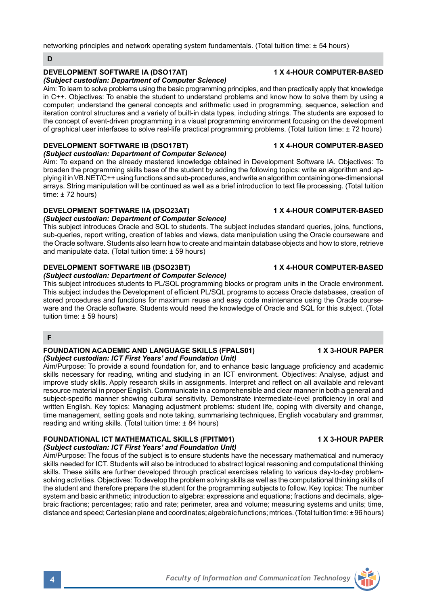networking principles and network operating system fundamentals. (Total tuition time: ± 54 hours)

### **D**

# **DEVELOPMENT SOFTWARE IA (DSO17AT) 1 X 4-HOUR COMPUTER-BASED**

# *(Subject custodian: Department of Computer Science)*

Aim: To learn to solve problems using the basic programming principles, and then practically apply that knowledge in C++. Objectives: To enable the student to understand problems and know how to solve them by using a computer; understand the general concepts and arithmetic used in programming, sequence, selection and iteration control structures and a variety of built-in data types, including strings. The students are exposed to the concept of event-driven programming in a visual programming environment focusing on the development of graphical user interfaces to solve real-life practical programming problems. (Total tuition time: ± 72 hours)

# **DEVELOPMENT SOFTWARE IB (DSO17BT) 1 X 4-HOUR COMPUTER-BASED**

### *(Subject custodian: Department of Computer Science)*

Aim: To expand on the already mastered knowledge obtained in Development Software IA. Objectives: To broaden the programming skills base of the student by adding the following topics: write an algorithm and applying it in VB.NET/C++ using functions and sub-procedures, and write an algorithm containing one-dimensional arrays. String manipulation will be continued as well as a brief introduction to text file processing. (Total tuition  $time: + 72 hours$ 

# **DEVELOPMENT SOFTWARE IIA (DSO23AT) 1 X 4-HOUR COMPUTER-BASED**

## *(Subject custodian: Department of Computer Science)*

This subject introduces Oracle and SQL to students. The subject includes standard queries, joins, functions, sub-queries, report writing, creation of tables and views, data manipulation using the Oracle courseware and the Oracle software. Students also learn how to create and maintain database objects and how to store, retrieve and manipulate data. (Total tuition time: ± 59 hours)

## **DEVELOPMENT SOFTWARE IIB (DSO23BT) 1 X 4-HOUR COMPUTER-BASED**

# *(Subject custodian: Department of Computer Science)*

This subject introduces students to PL/SQL programming blocks or program units in the Oracle environment. This subject includes the Development of efficient PL/SQL programs to access Oracle databases, creation of stored procedures and functions for maximum reuse and easy code maintenance using the Oracle courseware and the Oracle software. Students would need the knowledge of Oracle and SQL for this subject. (Total tuition time: ± 59 hours)

## **F**

### **FOUNDATION ACADEMIC AND LANGUAGE SKILLS (FPALS01) 1 X 3-HOUR PAPER** *(Subject custodian: ICT First Years' and Foundation Unit)*

Aim/Purpose: To provide a sound foundation for, and to enhance basic language proficiency and academic skills necessary for reading, writing and studying in an ICT environment. Objectives: Analyse, adjust and improve study skills. Apply research skills in assignments. Interpret and reflect on all available and relevant resource material in proper English. Communicate in a comprehensible and clear manner in both a general and subject-specific manner showing cultural sensitivity. Demonstrate intermediate-level proficiency in oral and written English. Key topics: Managing adjustment problems: student life, coping with diversity and change, time management, setting goals and note taking, summarising techniques, English vocabulary and grammar, reading and writing skills. (Total tuition time: ± 84 hours)

### **FOUNDATIONAL ICT MATHEMATICAL SKILLS (FPITM01) 1 X 3-HOUR PAPER** *(Subject custodian: ICT First Years' and Foundation Unit)*

Aim/Purpose: The focus of the subject is to ensure students have the necessary mathematical and numeracy skills needed for ICT. Students will also be introduced to abstract logical reasoning and computational thinking skills. These skills are further developed through practical exercises relating to various day-to-day problemsolving activities. Objectives: To develop the problem solving skills as well as the computational thinking skills of the student and therefore prepare the student for the programming subjects to follow. Key topics: The number system and basic arithmetic; introduction to algebra: expressions and equations; fractions and decimals, algebraic fractions; percentages; ratio and rate; perimeter, area and volume; measuring systems and units; time, distance and speed; Cartesian plane and coordinates; algebraic functions; mtrices. (Total tuition time: ± 96 hours)

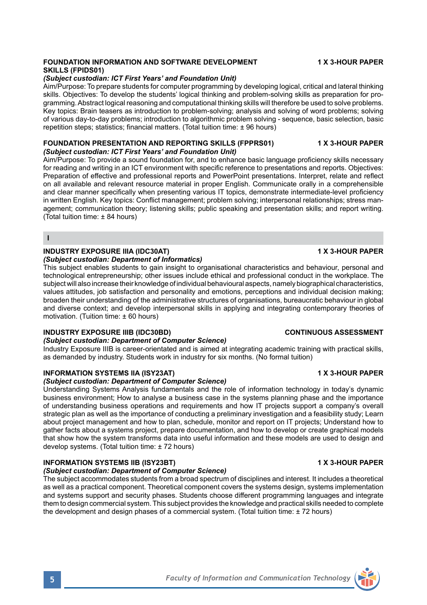### **FOUNDATION INFORMATION AND SOFTWARE DEVELOPMENT 4X 3-HOUR PAPER SKILLS (FPIDS01)**

### *(Subject custodian: ICT First Years' and Foundation Unit)*

Aim/Purpose: To prepare students for computer programming by developing logical, critical and lateral thinking skills. Objectives: To develop the students' logical thinking and problem-solving skills as preparation for programming. Abstract logical reasoning and computational thinking skills will therefore be used to solve problems. Key topics: Brain teasers as introduction to problem-solving; analysis and solving of word problems; solving of various day-to-day problems; introduction to algorithmic problem solving - sequence, basic selection, basic repetition steps; statistics; financial matters. (Total tuition time: ± 96 hours)

### **FOUNDATION PRESENTATION AND REPORTING SKILLS (FPPRS01) 1 X 3-HOUR PAPER** *(Subject custodian: ICT First Years' and Foundation Unit)*

Aim/Purpose: To provide a sound foundation for, and to enhance basic language proficiency skills necessary for reading and writing in an ICT environment with specific reference to presentations and reports. Objectives: Preparation of effective and professional reports and PowerPoint presentations. Interpret, relate and reflect on all available and relevant resource material in proper English. Communicate orally in a comprehensible and clear manner specifically when presenting various IT topics, demonstrate intermediate-level proficiency in written English. Key topics: Conflict management; problem solving; interpersonal relationships; stress management; communication theory; listening skills; public speaking and presentation skills; and report writing. (Total tuition time: ± 84 hours)

### **I**

# **INDUSTRY EXPOSURE IIIA (IDC30AT) 1 X 3-HOUR PAPER**

### *(Subject custodian: Department of Informatics)*

This subject enables students to gain insight to organisational characteristics and behaviour, personal and technological entrepreneurship; other issues include ethical and professional conduct in the workplace. The subject will also increase their knowledge of individual behavioural aspects, namely biographical characteristics, values attitudes, job satisfaction and personality and emotions, perceptions and individual decision making; broaden their understanding of the administrative structures of organisations, bureaucratic behaviour in global and diverse context; and develop interpersonal skills in applying and integrating contemporary theories of motivation. (Tuition time: ± 60 hours)

## **INDUSTRY EXPOSURE IIIB (IDC30BD) CONTINUOUS ASSESSMENT**

## *(Subject custodian: Department of Computer Science)*

Industry Exposure IIIB is career-orientated and is aimed at integrating academic training with practical skills, as demanded by industry. Students work in industry for six months. (No formal tuition)

### **INFORMATION SYSTEMS IIA (ISY23AT) 1 X 3-HOUR PAPER**

### *(Subject custodian: Department of Computer Science)*

Understanding Systems Analysis fundamentals and the role of information technology in today's dynamic business environment; How to analyse a business case in the systems planning phase and the importance of understanding business operations and requirements and how IT projects support a company's overall strategic plan as well as the importance of conducting a preliminary investigation and a feasibility study; Learn about project management and how to plan, schedule, monitor and report on IT projects; Understand how to gather facts about a systems project, prepare documentation, and how to develop or create graphical models that show how the system transforms data into useful information and these models are used to design and develop systems. (Total tuition time: ± 72 hours)

## **INFORMATION SYSTEMS IIB (ISY23BT) 1 X 3-HOUR PAPER**

### *(Subject custodian: Department of Computer Science)*

The subject accommodates students from a broad spectrum of disciplines and interest. It includes a theoretical as well as a practical component. Theoretical component covers the systems design, systems implementation and systems support and security phases. Students choose different programming languages and integrate them to design commercial system. This subject provides the knowledge and practical skills needed to complete the development and design phases of a commercial system. (Total tuition time: ± 72 hours)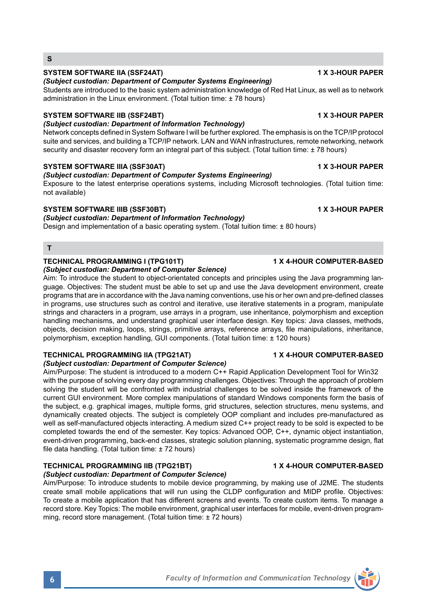**T**

### **TECHNICAL PROGRAMMING I (TPG101T) 1 X 4-HOUR COMPUTER-BASED** *(Subject custodian: Department of Computer Science)*

Aim: To introduce the student to object-orientated concepts and principles using the Java programming language. Objectives: The student must be able to set up and use the Java development environment, create programs that are in accordance with the Java naming conventions, use his or her own and pre-defined classes in programs, use structures such as control and iterative, use iterative statements in a program, manipulate strings and characters in a program, use arrays in a program, use inheritance, polymorphism and exception handling mechanisms, and understand graphical user interface design. Key topics: Java classes, methods, objects, decision making, loops, strings, primitive arrays, reference arrays, file manipulations, inheritance, polymorphism, exception handling, GUI components. (Total tuition time: ± 120 hours)

## **TECHNICAL PROGRAMMING IIA (TPG21AT) 1 X 4-HOUR COMPUTER-BASED**

*(Subject custodian: Department of Computer Science)*

Aim/Purpose: The student is introduced to a modern C++ Rapid Application Development Tool for Win32 with the purpose of solving every day programming challenges. Objectives: Through the approach of problem solving the student will be confronted with industrial challenges to be solved inside the framework of the current GUI environment. More complex manipulations of standard Windows components form the basis of the subject, e.g. graphical images, multiple forms, grid structures, selection structures, menu systems, and dynamically created objects. The subject is completely OOP compliant and includes pre-manufactured as well as self-manufactured objects interacting. A medium sized C++ project ready to be sold is expected to be completed towards the end of the semester. Key topics: Advanced OOP, C++, dynamic object instantiation, event-driven programming, back-end classes, strategic solution planning, systematic programme design, flat file data handling. (Total tuition time: ± 72 hours)

## **TECHNICAL PROGRAMMING IIB (TPG21BT) 1 X 4-HOUR COMPUTER-BASED**

## *(Subject custodian: Department of Computer Science)*

Aim/Purpose: To introduce students to mobile device programming, by making use of J2ME. The students create small mobile applications that will run using the CLDP configuration and MIDP profile. Objectives: To create a mobile application that has different screens and events. To create custom items. To manage a record store. Key Topics: The mobile environment, graphical user interfaces for mobile, event-driven programming, record store management. (Total tuition time: ± 72 hours)



**S**

# *(Subject custodian: Department of Computer Systems Engineering)*

Students are introduced to the basic system administration knowledge of Red Hat Linux, as well as to network administration in the Linux environment. (Total tuition time: ± 78 hours)

# **SYSTEM SOFTWARE IIB (SSF24BT) 1 X 3-HOUR PAPER**

## *(Subject custodian: Department of Information Technology)*

Network concepts defined in System Software I will be further explored. The emphasis is on the TCP/IP protocol suite and services, and building a TCP/IP network. LAN and WAN infrastructures, remote networking, network security and disaster recovery form an integral part of this subject. (Total tuition time: ± 78 hours)

# *(Subject custodian: Department of Computer Systems Engineering)*

Exposure to the latest enterprise operations systems, including Microsoft technologies. (Total tuition time: not available)

**SYSTEM SOFTWARE IIIA (SSF30AT) 1 X 3-HOUR PAPER**

# **SYSTEM SOFTWARE IIIB (SSF30BT) 1 X 3-HOUR PAPER**

*(Subject custodian: Department of Information Technology)*

Design and implementation of a basic operating system. (Total tuition time: ± 80 hours)

## **SYSTEM SOFTWARE IIA (SSF24AT) 1 X 3-HOUR PAPER**